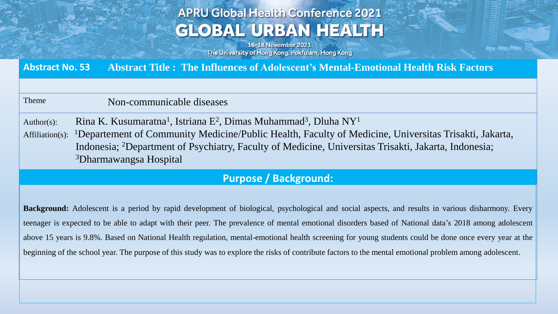# **APRU Global Health Conference 2021 GLOBAL URBAN HEALTH**

16-18 November 2021 The University of Hong Kong, Pokfulam, Hong Kong

**Abstract No. 53 Abstract Title : The Influences of Adolescent's Mental-Emotional Health Risk Factors**

| Theme | Non-communicable diseases |  |
|-------|---------------------------|--|
|-------|---------------------------|--|

Author(s): Rina K. Kusumaratna<sup>1</sup>, Istriana E<sup>2</sup>, Dimas Muhammad<sup>3</sup>, Dluha NY<sup>1</sup> Affiliation(s): <sup>1</sup>Departement of Community Medicine/Public Health, Faculty of Medicine, Universitas Trisakti, Jakarta, Indonesia; <sup>2</sup>Department of Psychiatry, Faculty of Medicine, Universitas Trisakti, Jakarta, Indonesia; <sup>3</sup>Dharmawangsa Hospital

### **Purpose / Background:**

**Background:** Adolescent is a period by rapid development of biological, psychological and social aspects, and results in various disharmony. Every teenager is expected to be able to adapt with their peer. The prevalence of mental emotional disorders based of National data's 2018 among adolescent above 15 years is 9.8%. Based on National Health regulation, mental-emotional health screening for young students could be done once every year at the beginning of the school year. The purpose of this study was to explore the risks of contribute factors to the mental emotional problem among adolescent.